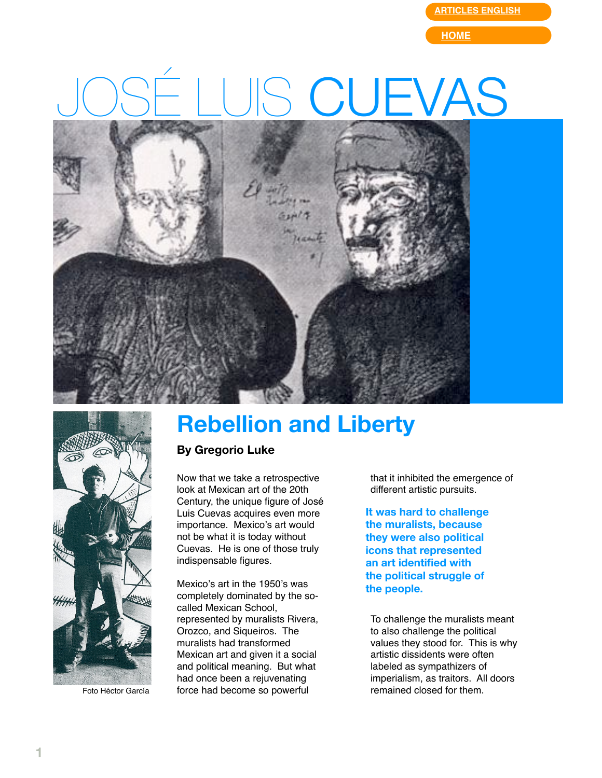**[ARTICLES ENGLISH](http://web.mac.com/gregorioluke/Site/Articles_in_English.html)**

**[HOME](http://web.mac.com/gregorioluke/Site/Home.html)**

## S CUEVAS





Foto Héctor García

## **Rebellion and Liberty**

## **By Gregorio Luke**

Now that we take a retrospective look at Mexican art of the 20th Century, the unique figure of José Luis Cuevas acquires even more importance. Mexico's art would not be what it is today without Cuevas. He is one of those truly indispensable figures.

Mexico's art in the 1950's was completely dominated by the socalled Mexican School, represented by muralists Rivera, Orozco, and Siqueiros. The muralists had transformed Mexican art and given it a social and political meaning. But what had once been a rejuvenating force had become so powerful

that it inhibited the emergence of different artistic pursuits.

**It was hard to challenge the muralists, because they were also political icons that represented an art identified with the political struggle of the people.**

To challenge the muralists meant to also challenge the political values they stood for. This is why artistic dissidents were often labeled as sympathizers of imperialism, as traitors. All doors remained closed for them.